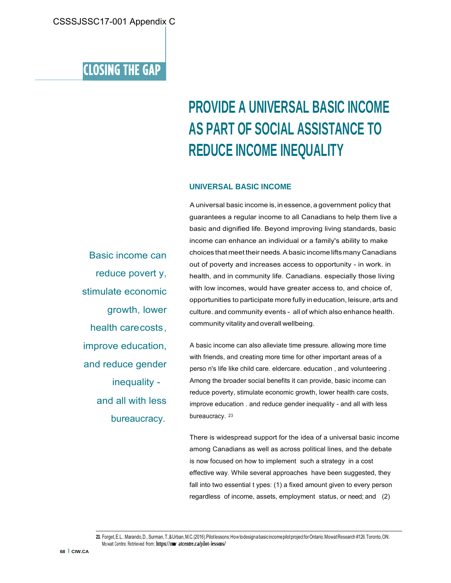### **CLOSING THE GAP**

# **PROVIDE A UNIVERSAL BASIC INCOME AS PART OF SOCIAL ASSISTANCE TO REDUCE INCOME INEQUALITY**

#### **UNIVERSAL BASIC INCOME**

A universal basic income is, in essence, a government policy that guarantees a regular income to all Canadians to help them live a basic and dignified life. Beyond improving living standards, basic income can enhance an individual or a family's ability to make choices that meet their needs. A basic income lifts many Canadians out of poverty and increases access to opportunity - in work. in health, and in community life. Canadians. especially those living with low incomes, would have greater access to, and choice of, opportunities to participate more fully in education, leisure, arts and culture. and community events - all of which also enhance health. community vitality and overall wellbeing.

A basic income can also alleviate time pressure. allowing more time with friends, and creating more time for other important areas of a perso n's life like child care. eldercare. education , and volunteering . Among the broader social benefits it can provide, basic income can reduce poverty, stimulate economic growth, lower health care costs, improve education . and reduce gender inequality - and all with less bureaucracy. 23

There is widespread support for the idea of a universal basic income among Canadians as well as across political lines, and the debate is now focused on how to implement such a strategy in a cost effective way. While several approaches have been suggested, they fall into two essential t ypes: (1) a fixed amount given to every person regardless of income, assets, employment status, or need; and (2)

Basic income can reduce povert y, stimulate economic growth, lower health care costs , improve education, and reduce gender inequality and all with less bureaucracy.

<sup>23.</sup> Forget, E.L.. Marando, D., Surman, T., & Urban, M.C.(2016). Pilot lessons: How to design a basic income pilot project for Ontario. Mowat Research #126. Toronto, ON: Mo wat Centre. Retrieved from: **https://mwo atcentre.ca/pilot-lessons/**